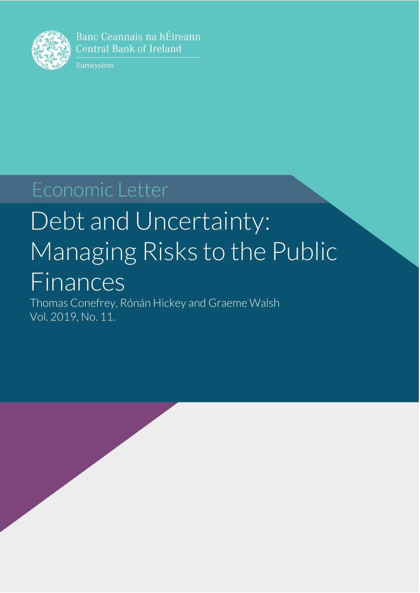

Banc Ceannais na hÉireann **Central Bank of Ireland** 

Eurosystem

# Economic Letter

# Debt and Uncertainty: Managing Risks to the Public Finances

Thomas Conefrey, Rónán Hickey and Graeme Walsh Vol. 2019, No. 11.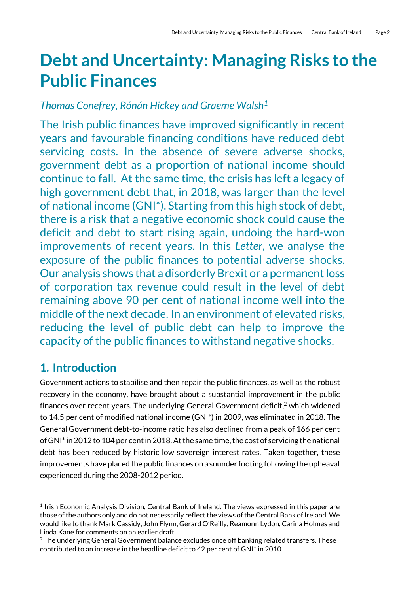# **Debt and Uncertainty: Managing Risks to the Public Finances**

## *Thomas Conefrey, Rónán Hickey and Graeme Walsh<sup>1</sup>*

The Irish public finances have improved significantly in recent years and favourable financing conditions have reduced debt servicing costs. In the absence of severe adverse shocks, government debt as a proportion of national income should continue to fall. At the same time, the crisis has left a legacy of high government debt that, in 2018, was larger than the level of national income (GNI\*). Starting from this high stock of debt, there is a risk that a negative economic shock could cause the deficit and debt to start rising again, undoing the hard-won improvements of recent years. In this *Letter*, we analyse the exposure of the public finances to potential adverse shocks. Our analysis shows that a disorderly Brexit or a permanent loss of corporation tax revenue could result in the level of debt remaining above 90 per cent of national income well into the middle of the next decade. In an environment of elevated risks, reducing the level of public debt can help to improve the capacity of the public finances to withstand negative shocks.

# **1. Introduction**

1

Government actions to stabilise and then repair the public finances, as well as the robust recovery in the economy, have brought about a substantial improvement in the public finances over recent years. The underlying General Government deficit, <sup>2</sup> which widened to 14.5 per cent of modified national income (GNI\*) in 2009, was eliminated in 2018. The General Government debt-to-income ratio has also declined from a peak of 166 per cent of GNI\* in 2012 to 104 per cent in 2018. At the same time, the cost of servicing the national debt has been reduced by historic low sovereign interest rates. Taken together, these improvements have placed the public finances on a sounder footing following the upheaval experienced during the 2008-2012 period.

<sup>&</sup>lt;sup>1</sup> Irish Economic Analysis Division, Central Bank of Ireland. The views expressed in this paper are those of the authors only and do not necessarily reflect the views of the Central Bank of Ireland. We would like to thank Mark Cassidy, John Flynn, Gerard O'Reilly, Reamonn Lydon, Carina Holmes and Linda Kane for comments on an earlier draft.

<sup>&</sup>lt;sup>2</sup> The underlying General Government balance excludes once off banking related transfers. These contributed to an increase in the headline deficit to 42 per cent of GNI\* in 2010.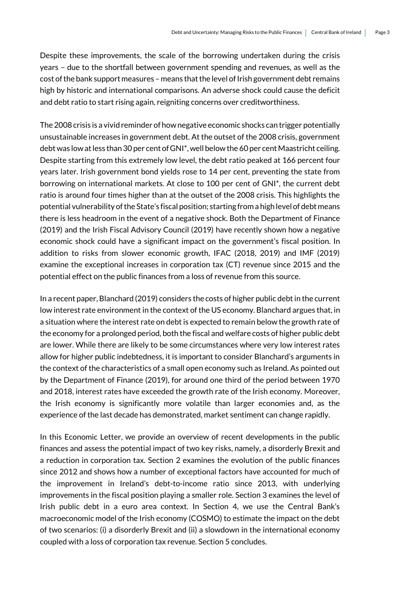Despite these improvements, the scale of the borrowing undertaken during the crisis years – due to the shortfall between government spending and revenues, as well as the cost of the bank support measures – means that the level of Irish government debt remains high by historic and international comparisons. An adverse shock could cause the deficit and debt ratio to start rising again, reigniting concerns over creditworthiness.

The 2008 crisis is a vivid reminder of how negative economic shocks can trigger potentially unsustainable increases in government debt. At the outset of the 2008 crisis, government debt was low at less than 30 per cent of GNI\*, well below the 60 per cent Maastricht ceiling. Despite starting from this extremely low level, the debt ratio peaked at 166 percent four years later. Irish government bond yields rose to 14 per cent, preventing the state from borrowing on international markets. At close to 100 per cent of GNI\*, the current debt ratio is around four times higher than at the outset of the 2008 crisis. This highlights the potential vulnerability of the State's fiscal position; starting from a high level of debt means there is less headroom in the event of a negative shock. Both the Department of Finance (2019) and the Irish Fiscal Advisory Council (2019) have recently shown how a negative economic shock could have a significant impact on the government's fiscal position. In addition to risks from slower economic growth, IFAC (2018, 2019) and IMF (2019) examine the exceptional increases in corporation tax (CT) revenue since 2015 and the potential effect on the public finances from a loss of revenue from this source.

In a recent paper, Blanchard (2019) considers the costs of higher public debt in the current low interest rate environment in the context of the US economy. Blanchard argues that, in a situation where the interest rate on debt is expected to remain below the growth rate of the economy for a prolonged period, both the fiscal and welfare costs of higher public debt are lower. While there are likely to be some circumstances where very low interest rates allow for higher public indebtedness, it is important to consider Blanchard's arguments in the context of the characteristics of a small open economy such as Ireland. As pointed out by the Department of Finance (2019), for around one third of the period between 1970 and 2018, interest rates have exceeded the growth rate of the Irish economy. Moreover, the Irish economy is significantly more volatile than larger economies and, as the experience of the last decade has demonstrated, market sentiment can change rapidly.

In this Economic Letter, we provide an overview of recent developments in the public finances and assess the potential impact of two key risks, namely, a disorderly Brexit and a reduction in corporation tax. Section 2 examines the evolution of the public finances since 2012 and shows how a number of exceptional factors have accounted for much of the improvement in Ireland's debt-to-income ratio since 2013, with underlying improvements in the fiscal position playing a smaller role. Section 3 examines the level of Irish public debt in a euro area context. In Section 4, we use the Central Bank's macroeconomic model of the Irish economy (COSMO) to estimate the impact on the debt of two scenarios: (i) a disorderly Brexit and (ii) a slowdown in the international economy coupled with a loss of corporation tax revenue. Section 5 concludes.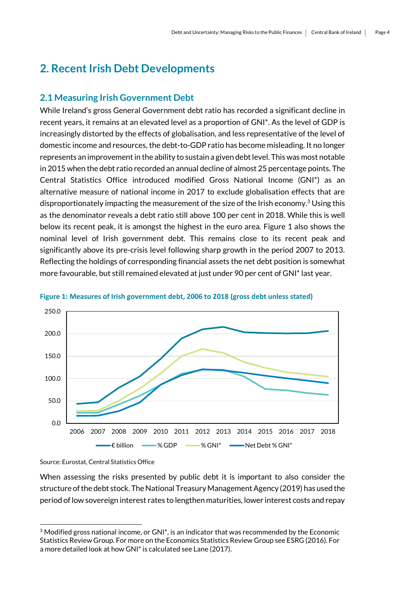# **2. Recent Irish Debt Developments**

#### **2.1 Measuring Irish Government Debt**

While Ireland's gross General Government debt ratio has recorded a significant decline in recent years, it remains at an elevated level as a proportion of GNI\*. As the level of GDP is increasingly distorted by the effects of globalisation, and less representative of the level of domestic income and resources, the debt-to-GDP ratio has become misleading. It no longer represents an improvement in the ability to sustain a given debt level. This was most notable in 2015 when the debt ratio recorded an annual decline of almost 25 percentage points. The Central Statistics Office introduced modified Gross National Income (GNI\*) as an alternative measure of national income in 2017 to exclude globalisation effects that are disproportionately impacting the measurement of the size of the Irish economy. <sup>3</sup> Using this as the denominator reveals a debt ratio still above 100 per cent in 2018. While this is well below its recent peak, it is amongst the highest in the euro area. Figure 1 also shows the nominal level of Irish government debt. This remains close to its recent peak and significantly above its pre-crisis level following sharp growth in the period 2007 to 2013. Reflecting the holdings of corresponding financial assets the net debt position is somewhat more favourable, but still remained elevated at just under 90 per cent of GNI\* last year.





Source: Eurostat, Central Statistics Office

1

When assessing the risks presented by public debt it is important to also consider the structure of the debt stock. The National Treasury Management Agency (2019) has used the period of low sovereign interest rates to lengthen maturities, lower interest costs and repay

 $3$  Modified gross national income, or GNI $^*$ , is an indicator that was recommended by the Economic Statistics Review Group. For more on the Economics Statistics Review Group see ESRG (2016). For a more detailed look at how GNI\* is calculated see Lane (2017).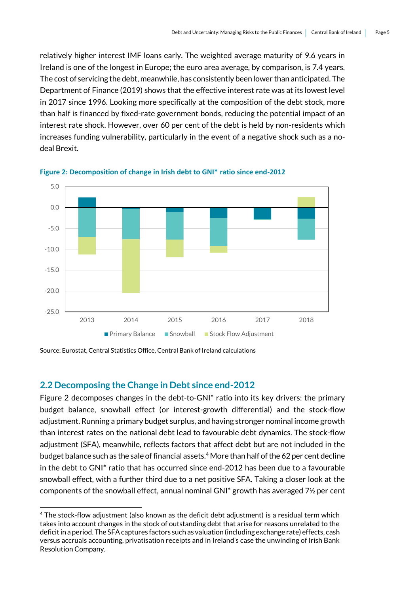relatively higher interest IMF loans early. The weighted average maturity of 9.6 years in Ireland is one of the longest in Europe; the euro area average, by comparison, is 7.4 years. The cost of servicing the debt, meanwhile, has consistently been lower than anticipated. The Department of Finance (2019) shows that the effective interest rate was at its lowest level in 2017 since 1996. Looking more specifically at the composition of the debt stock, more than half is financed by fixed-rate government bonds, reducing the potential impact of an interest rate shock. However, over 60 per cent of the debt is held by non-residents which increases funding vulnerability, particularly in the event of a negative shock such as a nodeal Brexit.



**Figure 2: Decomposition of change in Irish debt to GNI\* ratio since end-2012**

Source: Eurostat, Central Statistics Office, Central Bank of Ireland calculations

#### **2.2 Decomposing the Change in Debt since end-2012**

1

Figure 2 decomposes changes in the debt-to-GNI\* ratio into its key drivers: the primary budget balance, snowball effect (or interest-growth differential) and the stock-flow adjustment. Running a primary budget surplus, and having stronger nominal income growth than interest rates on the national debt lead to favourable debt dynamics. The stock-flow adjustment (SFA), meanwhile, reflects factors that affect debt but are not included in the budget balance such as the sale of financial assets. <sup>4</sup> More than half of the 62 per cent decline in the debt to GNI\* ratio that has occurred since end-2012 has been due to a favourable snowball effect, with a further third due to a net positive SFA. Taking a closer look at the components of the snowball effect, annual nominal GNI\* growth has averaged 7½ per cent

<sup>4</sup> The stock-flow adjustment (also known as the deficit debt adjustment) is a residual term which takes into account changes in the stock of outstanding debt that arise for reasons unrelated to the deficit in a period. The SFA captures factors such as valuation (including exchange rate) effects, cash versus accruals accounting, privatisation receipts and in Ireland's case the unwinding of Irish Bank Resolution Company.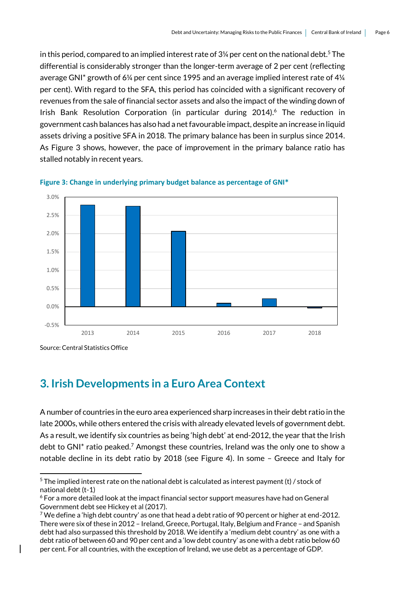in this period, compared to an implied interest rate of 3¼ per cent on the national debt. <sup>5</sup> The differential is considerably stronger than the longer-term average of 2 per cent (reflecting average GNI\* growth of 6¼ per cent since 1995 and an average implied interest rate of 4¼ per cent). With regard to the SFA, this period has coincided with a significant recovery of revenues from the sale of financial sector assets and also the impact of the winding down of Irish Bank Resolution Corporation (in particular during 2014). <sup>6</sup> The reduction in government cash balances has also had a net favourable impact, despite an increase in liquid assets driving a positive SFA in 2018. The primary balance has been in surplus since 2014. As Figure 3 shows, however, the pace of improvement in the primary balance ratio has stalled notably in recent years.





Source: Central Statistics Office

1

### **3. Irish Developments in a Euro Area Context**

A number of countries in the euro area experienced sharp increases in their debt ratio in the late 2000s, while others entered the crisis with already elevated levels of government debt. As a result, we identify six countries as being 'high debt' at end-2012, the year that the Irish debt to GNI<sup>\*</sup> ratio peaked.<sup>7</sup> Amongst these countries, Ireland was the only one to show a notable decline in its debt ratio by 2018 (see Figure 4). In some – Greece and Italy for

 $5$  The implied interest rate on the national debt is calculated as interest payment (t) / stock of national debt (t-1)

<sup>6</sup> For a more detailed look at the impact financial sector support measures have had on General Government debt see Hickey et al (2017).

<sup>&</sup>lt;sup>7</sup> We define a 'high debt country' as one that head a debt ratio of 90 percent or higher at end-2012. There were six of these in 2012 – Ireland, Greece, Portugal, Italy, Belgium and France – and Spanish debt had also surpassed this threshold by 2018. We identify a 'medium debt country' as one with a debt ratio of between 60 and 90 per cent and a 'low debt country' as one with a debt ratio below 60 per cent. For all countries, with the exception of Ireland, we use debt as a percentage of GDP.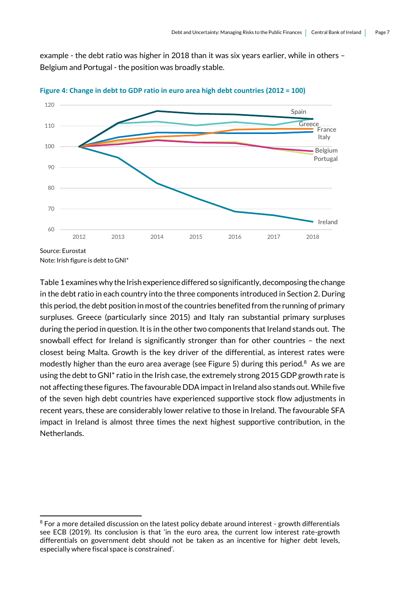example - the debt ratio was higher in 2018 than it was six years earlier, while in others – Belgium and Portugal - the position was broadly stable.



**Figure 4: Change in debt to GDP ratio in euro area high debt countries (2012 = 100)**

Note: Irish figure is debt to GNI\*

1

Table 1 examines why the Irish experience differed so significantly, decomposing the change in the debt ratio in each country into the three components introduced in Section 2. During this period, the debt position in most of the countries benefited from the running of primary surpluses. Greece (particularly since 2015) and Italy ran substantial primary surpluses during the period in question. It is in the other two components that Ireland stands out. The snowball effect for Ireland is significantly stronger than for other countries – the next closest being Malta. Growth is the key driver of the differential, as interest rates were modestly higher than the euro area average (see Figure 5) during this period. $8$  As we are using the debt to GNI\* ratio in the Irish case, the extremely strong 2015 GDP growth rate is not affecting these figures. The favourable DDA impact in Ireland also stands out. While five of the seven high debt countries have experienced supportive stock flow adjustments in recent years, these are considerably lower relative to those in Ireland. The favourable SFA impact in Ireland is almost three times the next highest supportive contribution, in the Netherlands.

<sup>&</sup>lt;sup>8</sup> For a more detailed discussion on the latest policy debate around interest - growth differentials see ECB (2019). Its conclusion is that 'in the euro area, the current low interest rate-growth differentials on government debt should not be taken as an incentive for higher debt levels, especially where fiscal space is constrained'.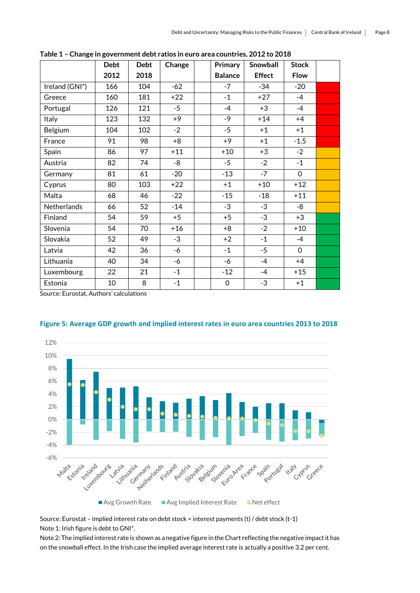|                | <b>Debt</b> | <b>Debt</b> | Change | Primary        | Snowball      | <b>Stock</b> |  |
|----------------|-------------|-------------|--------|----------------|---------------|--------------|--|
|                | 2012        | 2018        |        | <b>Balance</b> | <b>Effect</b> | <b>Flow</b>  |  |
| Ireland (GNI*) | 166         | 104         | $-62$  | $-7$           | $-34$         | $-20$        |  |
| Greece         | 160         | 181         | $+22$  | $-1$           | $+27$         | $-4$         |  |
| Portugal       | 126         | 121         | $-5$   | $-4$           | $+3$          | $-4$         |  |
| Italy          | 123         | 132         | $+9$   | $-9$           | $+14$         | $+4$         |  |
| Belgium        | 104         | 102         | $-2$   | $-5$           | $+1$          | $+1$         |  |
| France         | 91          | 98          | $+8$   | $+9$           | $+1$          | $-1.5$       |  |
| Spain          | 86          | 97          | $+11$  | $+10$          | $+3$          | $-2$         |  |
| Austria        | 82          | 74          | -8     | $-5$           | $-2$          | $-1$         |  |
| Germany        | 81          | 61          | $-20$  | $-13$          | $-7$          | $\mathbf 0$  |  |
| Cyprus         | 80          | 103         | $+22$  | $+1$           | $+10$         | $+12$        |  |
| Malta          | 68          | 46          | $-22$  | $-15$          | $-18$         | $+11$        |  |
| Netherlands    | 66          | 52          | $-14$  | $-3$           | $-3$          | -8           |  |
| Finland        | 54          | 59          | $+5$   | $+5$           | $-3$          | $+3$         |  |
| Slovenia       | 54          | 70          | $+16$  | $+8$           | $-2$          | $+10$        |  |
| Slovakia       | 52          | 49          | $-3$   | $+2$           | $-1$          | $-4$         |  |
| Latvia         | 42          | 36          | -6     | $-1$           | $-5$          | $\mathbf{O}$ |  |
| Lithuania      | 40          | 34          | -6     | -6             | $-4$          | $+4$         |  |
| Luxembourg     | 22          | 21          | $-1$   | $-12$          | $-4$          | $+15$        |  |
| Estonia        | 10          | 8           | $-1$   | $\mathbf 0$    | $-3$          | $+1$         |  |

**Table 1 – Change in government debt ratios in euro area countries, 2012 to 2018**

Source: Eurostat, Authors' calculations





Source: Eurostat – implied interest rate on debt stock = interest payments (t) / debt stock (t-1) Note 1: Irish figure is debt to GNI\*.

Note 2: The implied interest rate is shown as a negative figure in the Chart reflecting the negative impact it has on the snowball effect. In the Irish case the implied average interest rate is actually a positive 3.2 per cent.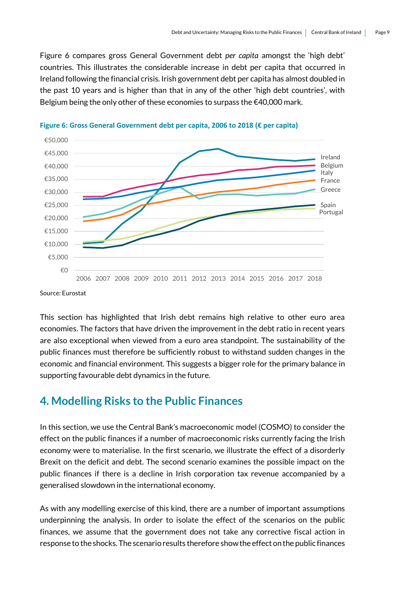Figure 6 compares gross General Government debt *per capita* amongst the 'high debt' countries. This illustrates the considerable increase in debt per capita that occurred in Ireland following the financial crisis. Irish government debt per capita has almost doubled in the past 10 years and is higher than that in any of the other 'high debt countries', with Belgium being the only other of these economies to surpass the  $€40,000$  mark.



**Figure 6: Gross General Government debt per capita, 2006 to 2018 (€ per capita)**

Source: Eurostat

This section has highlighted that Irish debt remains high relative to other euro area economies. The factors that have driven the improvement in the debt ratio in recent years are also exceptional when viewed from a euro area standpoint. The sustainability of the public finances must therefore be sufficiently robust to withstand sudden changes in the economic and financial environment. This suggests a bigger role for the primary balance in supporting favourable debt dynamics in the future.

#### **4. Modelling Risks to the Public Finances**

In this section, we use the Central Bank's macroeconomic model (COSMO) to consider the effect on the public finances if a number of macroeconomic risks currently facing the Irish economy were to materialise. In the first scenario, we illustrate the effect of a disorderly Brexit on the deficit and debt. The second scenario examines the possible impact on the public finances if there is a decline in Irish corporation tax revenue accompanied by a generalised slowdown in the international economy.

As with any modelling exercise of this kind, there are a number of important assumptions underpinning the analysis. In order to isolate the effect of the scenarios on the public finances, we assume that the government does not take any corrective fiscal action in response to the shocks. The scenario results therefore show the effect on the public finances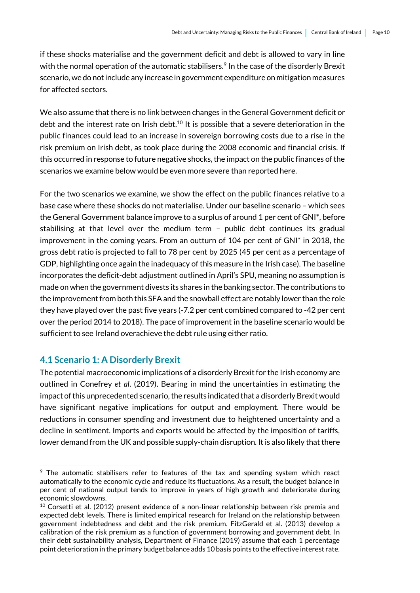if these shocks materialise and the government deficit and debt is allowed to vary in line with the normal operation of the automatic stabilisers. $\textsuperscript{9}$  In the case of the disorderly Brexit scenario, we do not include any increase in government expenditure on mitigation measures for affected sectors.

We also assume that there is no link between changes in the General Government deficit or debt and the interest rate on Irish debt.<sup>10</sup> It is possible that a severe deterioration in the public finances could lead to an increase in sovereign borrowing costs due to a rise in the risk premium on Irish debt, as took place during the 2008 economic and financial crisis. If this occurred in response to future negative shocks, the impact on the public finances of the scenarios we examine below would be even more severe than reported here.

For the two scenarios we examine, we show the effect on the public finances relative to a base case where these shocks do not materialise. Under our baseline scenario – which sees the General Government balance improve to a surplus of around 1 per cent of GNI\*, before stabilising at that level over the medium term – public debt continues its gradual improvement in the coming years. From an outturn of 104 per cent of GNI\* in 2018, the gross debt ratio is projected to fall to 78 per cent by 2025 (45 per cent as a percentage of GDP, highlighting once again the inadequacy of this measure in the Irish case). The baseline incorporates the deficit-debt adjustment outlined in April's SPU, meaning no assumption is made on when the government divests its shares in the banking sector. The contributions to the improvement from both this SFAand the snowball effect are notably lower than the role they have played over the past five years (-7.2 per cent combined compared to -42 per cent over the period 2014 to 2018). The pace of improvement in the baseline scenario would be sufficient to see Ireland overachieve the debt rule using either ratio.

#### **4.1 Scenario 1: A Disorderly Brexit**

1

The potential macroeconomic implications of a disorderly Brexit for the Irish economy are outlined in Conefrey *et al*. (2019). Bearing in mind the uncertainties in estimating the impact of this unprecedented scenario, the results indicated that a disorderly Brexit would have significant negative implications for output and employment. There would be reductions in consumer spending and investment due to heightened uncertainty and a decline in sentiment. Imports and exports would be affected by the imposition of tariffs, lower demand from the UK and possible supply-chain disruption. It is also likely that there

<sup>9</sup> The automatic stabilisers refer to features of the tax and spending system which react automatically to the economic cycle and reduce its fluctuations. As a result, the budget balance in per cent of national output tends to improve in years of high growth and deteriorate during economic slowdowns.

 $10$  Corsetti et al. (2012) present evidence of a non-linear relationship between risk premia and expected debt levels. There is limited empirical research for Ireland on the relationship between government indebtedness and debt and the risk premium. FitzGerald et al. (2013) develop a calibration of the risk premium as a function of government borrowing and government debt. In their debt sustainability analysis, Department of Finance (2019) assume that each 1 percentage point deterioration in the primary budget balance adds 10 basis points to the effective interest rate.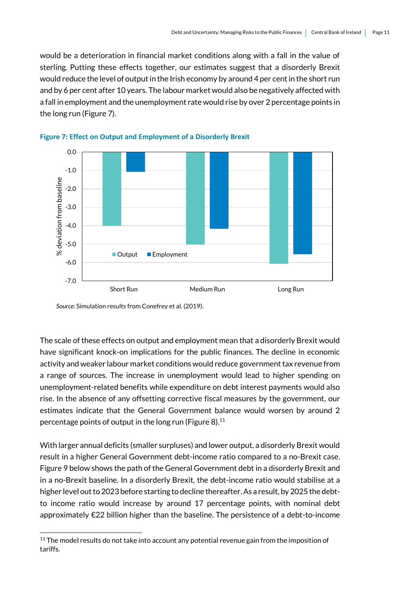would be a deterioration in financial market conditions along with a fall in the value of sterling. Putting these effects together, our estimates suggest that a disorderly Brexit would reduce the level of output in the Irish economy by around 4 per cent in the short run and by 6 per cent after 10 years. The labour market would also be negatively affected with a fall in employment and the unemployment rate would rise by over 2 percentage points in the long run (Figure 7).





*Source:* Simulation results from Conefrey et al. (2019).

1

The scale of these effects on output and employment mean that a disorderly Brexit would have significant knock-on implications for the public finances. The decline in economic activity and weaker labour market conditions would reduce government tax revenue from a range of sources. The increase in unemployment would lead to higher spending on unemployment-related benefits while expenditure on debt interest payments would also rise. In the absence of any offsetting corrective fiscal measures by the government, our estimates indicate that the General Government balance would worsen by around 2 percentage points of output in the long run (Figure 8).<sup>11</sup>

With larger annual deficits (smaller surpluses) and lower output, a disorderly Brexit would result in a higher General Government debt-income ratio compared to a no-Brexit case. Figure 9 below shows the path of the General Government debt in a disorderly Brexit and in a no-Brexit baseline. In a disorderly Brexit, the debt-income ratio would stabilise at a higher level out to 2023 before starting to decline thereafter.As a result, by 2025 the debtto income ratio would increase by around 17 percentage points, with nominal debt approximately €22 billion higher than the baseline. The persistence of a debt-to-income

 $11$  The model results do not take into account any potential revenue gain from the imposition of tariffs.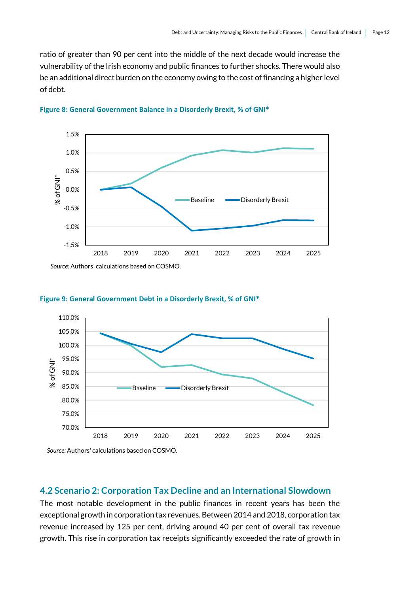ratio of greater than 90 per cent into the middle of the next decade would increase the vulnerability of the Irish economy and public finances to further shocks. There would also be an additional direct burden on the economy owing to the cost of financing a higher level of debt.









*Source:* Authors' calculations based on COSMO.

#### **4.2 Scenario 2: Corporation Tax Decline and an International Slowdown**

The most notable development in the public finances in recent years has been the exceptional growth in corporation tax revenues. Between 2014 and 2018, corporation tax revenue increased by 125 per cent, driving around 40 per cent of overall tax revenue growth. This rise in corporation tax receipts significantly exceeded the rate of growth in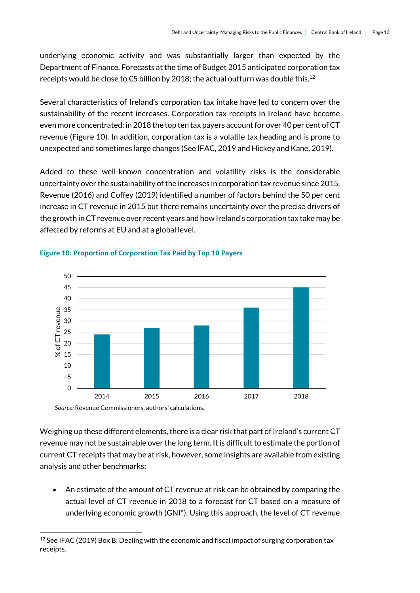underlying economic activity and was substantially larger than expected by the Department of Finance. Forecasts at the time of Budget 2015 anticipated corporation tax receipts would be close to  $\epsilon$ 5 billion by 2018; the actual outturn was double this.<sup>12</sup>

Several characteristics of Ireland's corporation tax intake have led to concern over the sustainability of the recent increases. Corporation tax receipts in Ireland have become even more concentrated: in 2018 the top ten tax payers account for over 40 per cent of CT revenue (Figure 10). In addition, corporation tax is a volatile tax heading and is prone to unexpected and sometimes large changes (See IFAC, 2019 and Hickey and Kane, 2019).

Added to these well-known concentration and volatility risks is the considerable uncertainty over the sustainability of the increases in corporation tax revenue since 2015. Revenue (2016) and Coffey (2019) identified a number of factors behind the 50 per cent increase in CT revenue in 2015 but there remains uncertainty over the precise drivers of the growth in CT revenue over recent years and how Ireland's corporation tax take may be affected by reforms at EU and at a global level.



#### **Figure 10: Proportion of Corporation Tax Paid by Top 10 Payers**

*Source:* Revenue Commissioners, authors' calculations.

1

Weighing up these different elements, there is a clear risk that part of Ireland's current CT revenue may not be sustainable over the long term. It is difficult to estimate the portion of current CT receipts that may be at risk, however, some insights are available from existing analysis and other benchmarks:

 An estimate of the amount of CT revenue at risk can be obtained by comparing the actual level of CT revenue in 2018 to a forecast for CT based on a measure of underlying economic growth (GNI\*). Using this approach, the level of CT revenue

<sup>&</sup>lt;sup>12</sup> See IFAC (2019) Box B: Dealing with the economic and fiscal impact of surging corporation tax receipts.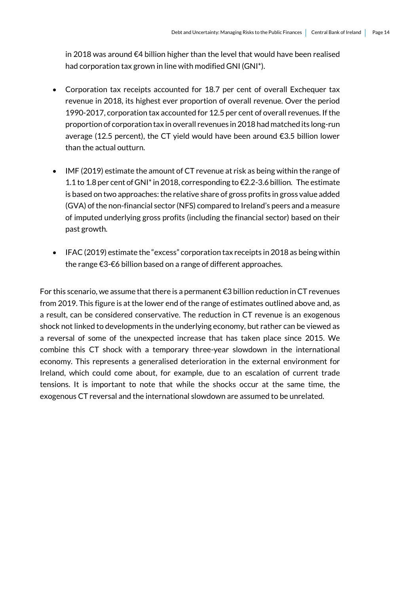in 2018 was around €4 billion higher than the level that would have been realised had corporation tax grown in line with modified GNI (GNI\*).

- Corporation tax receipts accounted for 18.7 per cent of overall Exchequer tax revenue in 2018, its highest ever proportion of overall revenue. Over the period 1990-2017, corporation tax accounted for 12.5 per cent of overall revenues. If the proportion of corporation tax in overall revenues in 2018 had matched its long-run average (12.5 percent), the CT yield would have been around €3.5 billion lower than the actual outturn.
- IMF (2019) estimate the amount of CT revenue at risk as being within the range of 1.1 to 1.8 per cent of GNI\* in 2018, corresponding to €2.2-3.6 billion. The estimate is based on two approaches: the relative share of gross profits in gross value added (GVA) of the non-financial sector (NFS) compared to Ireland's peers and a measure of imputed underlying gross profits (including the financial sector) based on their past growth.
- IFAC (2019) estimate the "excess" corporation tax receipts in 2018 as being within the range €3-€6 billion based on a range of different approaches.

For this scenario, we assume that there is a permanent  $\epsilon$ 3 billion reduction in CT revenues from 2019. This figure is at the lower end of the range of estimates outlined above and, as a result, can be considered conservative. The reduction in CT revenue is an exogenous shock not linked to developments in the underlying economy, but rather can be viewed as a reversal of some of the unexpected increase that has taken place since 2015. We combine this CT shock with a temporary three-year slowdown in the international economy. This represents a generalised deterioration in the external environment for Ireland, which could come about, for example, due to an escalation of current trade tensions. It is important to note that while the shocks occur at the same time, the exogenous CT reversal and the international slowdown are assumed to be unrelated.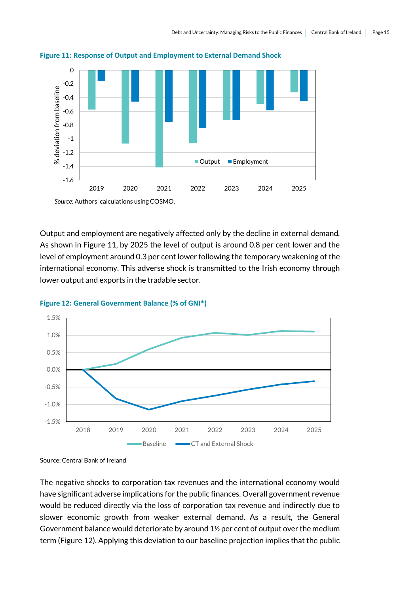

**Figure 11: Response of Output and Employment to External Demand Shock**

*Source:* Authors' calculations using COSMO.

Output and employment are negatively affected only by the decline in external demand. As shown in Figure 11, by 2025 the level of output is around 0.8 per cent lower and the level of employment around 0.3 per cent lower following the temporary weakening of the international economy. This adverse shock is transmitted to the Irish economy through lower output and exports in the tradable sector.



**Figure 12: General Government Balance (% of GNI\*)**

Source: Central Bank of Ireland

The negative shocks to corporation tax revenues and the international economy would have significant adverse implications for the public finances. Overall government revenue would be reduced directly via the loss of corporation tax revenue and indirectly due to slower economic growth from weaker external demand. As a result, the General Government balance would deteriorate by around 1½ per cent of output over the medium term (Figure 12). Applying this deviation to our baseline projection implies that the public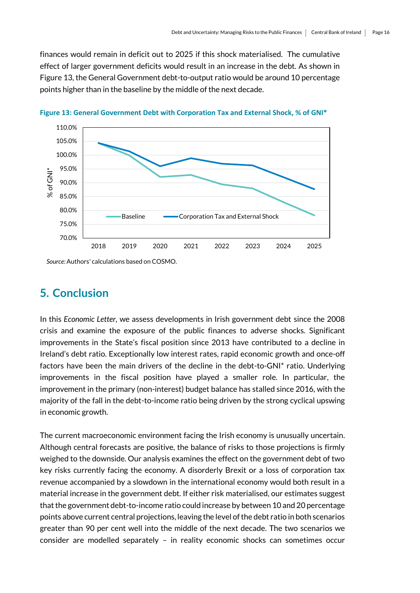finances would remain in deficit out to 2025 if this shock materialised. The cumulative effect of larger government deficits would result in an increase in the debt. As shown in Figure 13, the General Government debt-to-output ratio would be around 10 percentage points higher than in the baseline by the middle of the next decade.



**Figure 13: General Government Debt with Corporation Tax and External Shock, % of GNI\***

*Source:* Authors' calculations based on COSMO.

#### **5. Conclusion**

In this *Economic Letter,* we assess developments in Irish government debt since the 2008 crisis and examine the exposure of the public finances to adverse shocks. Significant improvements in the State's fiscal position since 2013 have contributed to a decline in Ireland's debt ratio. Exceptionally low interest rates, rapid economic growth and once-off factors have been the main drivers of the decline in the debt-to-GNI\* ratio. Underlying improvements in the fiscal position have played a smaller role. In particular, the improvement in the primary (non-interest) budget balance has stalled since 2016, with the majority of the fall in the debt-to-income ratio being driven by the strong cyclical upswing in economic growth.

The current macroeconomic environment facing the Irish economy is unusually uncertain. Although central forecasts are positive, the balance of risks to those projections is firmly weighed to the downside. Our analysis examines the effect on the government debt of two key risks currently facing the economy. A disorderly Brexit or a loss of corporation tax revenue accompanied by a slowdown in the international economy would both result in a material increase in the government debt. If either risk materialised, our estimates suggest that the government debt-to-income ratio could increase by between 10 and 20 percentage points above current central projections, leaving the level of the debt ratio in both scenarios greater than 90 per cent well into the middle of the next decade. The two scenarios we consider are modelled separately – in reality economic shocks can sometimes occur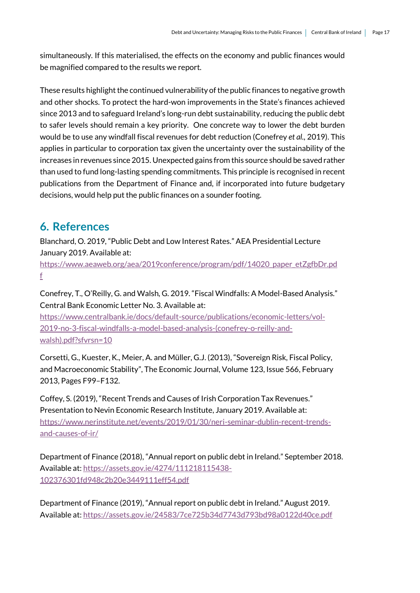simultaneously. If this materialised, the effects on the economy and public finances would be magnified compared to the results we report.

These results highlight the continued vulnerability of the public finances to negative growth and other shocks. To protect the hard-won improvements in the State's finances achieved since 2013 and to safeguard Ireland's long-run debt sustainability, reducing the public debt to safer levels should remain a key priority. One concrete way to lower the debt burden would be to use any windfall fiscal revenues for debt reduction (Conefrey *et al.,* 2019). This applies in particular to corporation tax given the uncertainty over the sustainability of the increases in revenues since 2015. Unexpected gains from this source should be saved rather than used to fund long-lasting spending commitments. This principle is recognised in recent publications from the Department of Finance and, if incorporated into future budgetary decisions, would help put the public finances on a sounder footing.

## **6. References**

Blanchard, O. 2019, "Public Debt and Low Interest Rates." AEA Presidential Lecture January 2019. Available at:

[https://www.aeaweb.org/aea/2019conference/program/pdf/14020\\_paper\\_etZgfbDr.pd](https://www.aeaweb.org/aea/2019conference/program/pdf/14020_paper_etZgfbDr.pdf) [f](https://www.aeaweb.org/aea/2019conference/program/pdf/14020_paper_etZgfbDr.pdf)

Conefrey, T., O'Reilly, G. and Walsh, G. 2019. "Fiscal Windfalls: A Model-Based Analysis." Central Bank Economic Letter No. 3. Available at:

[https://www.centralbank.ie/docs/default-source/publications/economic-letters/vol-](https://www.centralbank.ie/docs/default-source/publications/economic-letters/vol-2019-no-3-fiscal-windfalls-a-model-based-analysis-(conefrey-o-reilly-and-walsh).pdf?sfvrsn=10)[2019-no-3-fiscal-windfalls-a-model-based-analysis-\(conefrey-o-reilly-and](https://www.centralbank.ie/docs/default-source/publications/economic-letters/vol-2019-no-3-fiscal-windfalls-a-model-based-analysis-(conefrey-o-reilly-and-walsh).pdf?sfvrsn=10)[walsh\).pdf?sfvrsn=10](https://www.centralbank.ie/docs/default-source/publications/economic-letters/vol-2019-no-3-fiscal-windfalls-a-model-based-analysis-(conefrey-o-reilly-and-walsh).pdf?sfvrsn=10)

Corsetti, G., Kuester, K., Meier, A. and Müller, G.J. (2013), "Sovereign Risk, Fiscal Policy, and Macroeconomic Stability", The Economic Journal, Volume 123, Issue 566, February 2013, Pages F99–F132.

Coffey, S. (2019), "Recent Trends and Causes of Irish Corporation Tax Revenues." Presentation to Nevin Economic Research Institute, January 2019. Available at: [https://www.nerinstitute.net/events/2019/01/30/neri-seminar-dublin-recent-trends](https://www.nerinstitute.net/events/2019/01/30/neri-seminar-dublin-recent-trends-and-causes-of-ir/)[and-causes-of-ir/](https://www.nerinstitute.net/events/2019/01/30/neri-seminar-dublin-recent-trends-and-causes-of-ir/)

Department of Finance (2018), "Annual report on public debt in Ireland." September 2018. Available at: [https://assets.gov.ie/4274/111218115438-](https://assets.gov.ie/4274/111218115438-102376301fd948c2b20e3449111eff54.pdf) [102376301fd948c2b20e3449111eff54.pdf](https://assets.gov.ie/4274/111218115438-102376301fd948c2b20e3449111eff54.pdf)

Department of Finance (2019), "Annual report on public debt in Ireland." August 2019. Available at:<https://assets.gov.ie/24583/7ce725b34d7743d793bd98a0122d40ce.pdf>